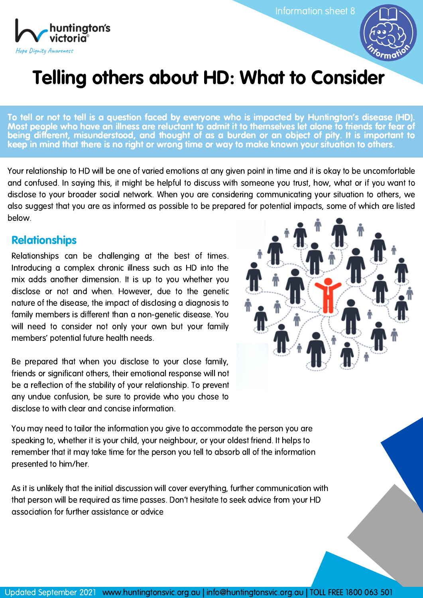huntington's victoria Hope Dignity Awareness

Information sheet 8



# Telling others about HD: What to Consider

To tell or not to tell is a question faced by everyone who is impacted by Huntington's disease (HD). Most people who have an illness are reluctant to admit it to themselves let alone to friends for fear of being different, misunderstood, and thought of as a burden or an object of pity. It is important to keep in mind that there is no right or wrong time or way to make known your situation to others.

Your relationship to HD will be one of varied emotions at any given point in time and it is okay to be uncomfortable and confused. In saying this, it might be helpful to discuss with someone you trust, how, what or if you want to disclose to your broader social network. When you are considering communicating your situation to others, we also suggest that you are as informed as possible to be prepared for potential impacts, some of which are listed below.

## **Relationships**

Relationships can be challenging at the best of times. Introducing a complex chronic illness such as HD into the mix adds another dimension. It is up to you whether you disclose or not and when. However, due to the genetic nature of the disease, the impact of disclosing a diagnosis to family members is different than a non-genetic disease. You will need to consider not only your own but your family members' potential future health needs.

Be prepared that when you disclose to your close family, friends or significant others, their emotional response will not be a reflection of the stability of your relationship. To prevent any undue confusion, be sure to provide who you chose to disclose to with clear and concise information.



You may need to tailor the information you give to accommodate the person you are speaking to, whether it is your child, your neighbour, or your oldest friend. It helps to remember that it may take time for the person you tell to absorb all of the information presented to him/her.

As it is unlikely that the initial discussion will cover everything, further communication with that person will be required as time passes. Don't hesitate to seek advice from your HD association for further assistance or advice